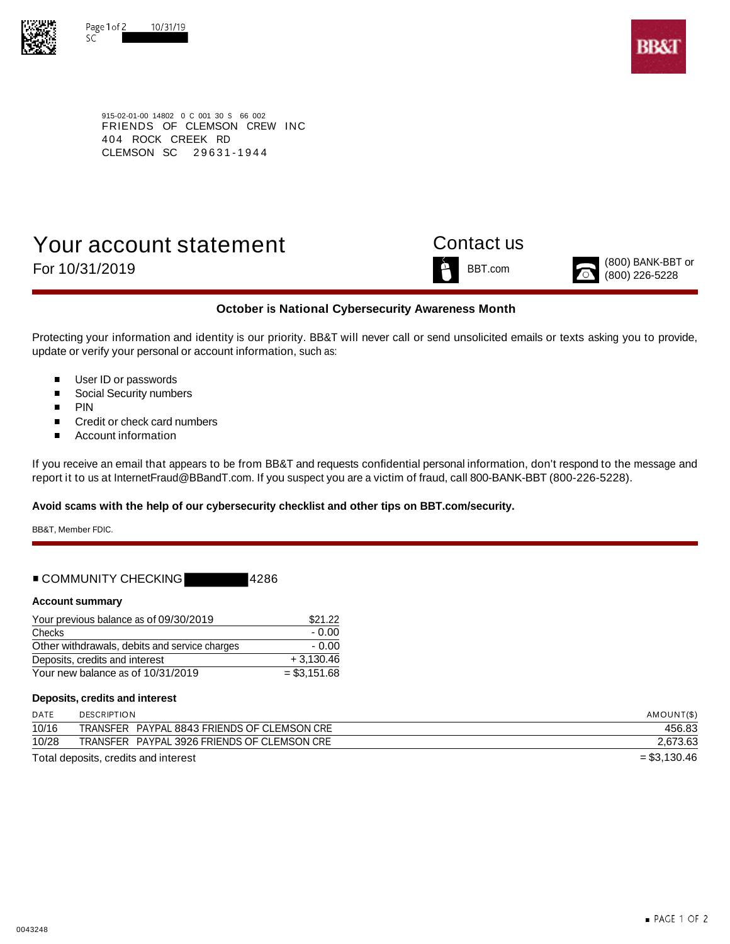



915-02-01-00 14802 0 C 001 30 S 66 002 FRIENDS OF CLEMSON CREW INC 404 ROCK CREEK RD CLEMSON SC 29631-1944

# Your account statement Contact us For 10/31/2019  $\sum_{(800) \text{ BANK-BBT or}}^{(800) \text{ BANK-BBT or}}$





## **October is National Cybersecurity Awareness Month**

Protecting your information and identity is our priority. BB&T will never call or send unsolicited emails or texts asking you to provide, update or verify your personal or account information, such as:

- User ID or passwords  $\blacksquare$
- $\blacksquare$ Social Security numbers
- $\blacksquare$ PIN
- $\blacksquare$ Credit or check card numbers
- $\blacksquare$ Account information

If you receive an email that appears to be from BB&T and requests confidential personal information, don't respond to the message and report it to us at InternetFraud@BBandT.com. If you suspect you are a victim of fraud, call 800-BANK-BBT (800-226-5228).

## **Avoid scams with the help of our cybersecurity checklist and other tips on BBT.com/security.**

BB&T, Member FDIC.

| ■ COMMUNITY CHECKING | 14286 |
|----------------------|-------|
|----------------------|-------|

### **Account summary**

| Your previous balance as of 09/30/2019        | \$21.22       |
|-----------------------------------------------|---------------|
| Checks                                        | - 0.00        |
| Other withdrawals, debits and service charges | - 0.00        |
| Deposits, credits and interest                | $+3.130.46$   |
| Your new balance as of 10/31/2019             | $= $3,151.68$ |

### **Deposits, credits and interest**

| DATE  | <b>DESCRIPTION</b>                          | AMOUNT(\$)    |
|-------|---------------------------------------------|---------------|
| 10/16 | TRANSFER PAYPAL 8843 FRIENDS OF CLEMSON CRE | 456.83        |
| 10/28 | TRANSFER PAYPAL 3926 FRIENDS OF CLEMSON CRE | 2,673.63      |
|       | Total deposits, credits and interest        | $= $3,130.46$ |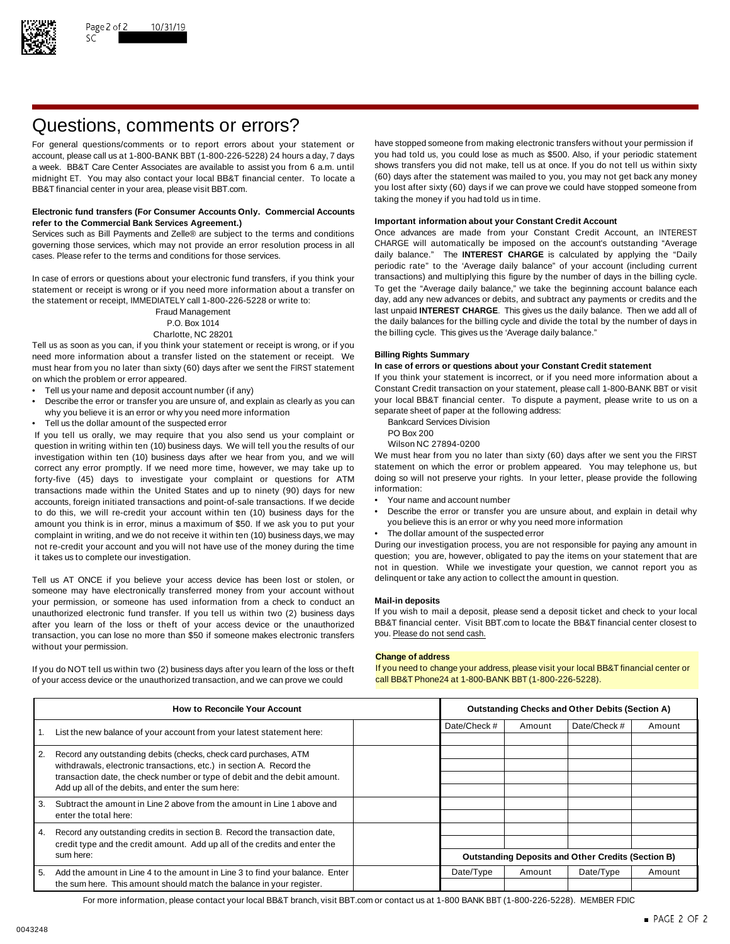

# Questions, comments or errors?

account, please call us at 1-800-BANK BBT (1-800-226-5228) 24 hours a day, 7 days midnight ET. You may also contact your local BB&T financial center. To locate a BB&T financial center in your area, please visit BBT.com. The state of the state of the state of the state of the state of the state of the state of the state of the state of the state of the state of the state of the stat

### **Electronic fund transfers (For Consumer Accounts Only. Commercial Accounts Important information about your Constant Credit Account refer to the Commercial Bank Services Agreement.)**

governing those services, which may not provide an error resolution process in all CHARGE will automatically be imposed on the account's outstanding "Average cases. Please refer to the terms and conditions for those services. daily balance." The **INTEREST CHARGE** is calculated by applying the "Daily

statement or receipt is wrong or if you need more information about a transfer on To get the "Average daily balance," we take the beginning account balance each<br>the statement or receipt IMMFDIATFLY call 1-800-226-5228 or w the statement or receipt, IMMEDIATELY call 1-800-226-5228 or write to:

Tell us as soon as you can, if you think your statement or receipt is wrong, or if you need more information about a transfer listed on the statement or receipt. We **Billing Rights Summary** must hear from you no later than sixty (60) days after we sent the FIRST statement on which the problem or error appeared. If you think your statement is incorrect, or if you need more information about a

- 
- Describe the error or transfer you are unsure of, and explain as clearly as you can your local BB&T financial center. To dispute a why you believe it is an error or why you need more information why you believe it is an error or why you need more information<br>Tell us the dollar amount of the suspected error and the following address Division
- Fell us the dollar amount of the suspected error<br>Vou tell us orally we may require that you also send us your complaint or BO Box 200

If you tell us orally, we may require that you also send us your complaint or PO Box 200<br>question in writing within ten (10) business days. We will tell you the results of our Wilson NC 27894-0200 question in writing within ten (10) business days. We will tell you the results of our Wilson NC 27894-0200<br>investigation within ten (10) business days after we hear from you, and we will We must hear from you no later tha investigation within ten (10) business days after we hear from you, and we will We must hear from you no later than sixty (60) days after we sent you the FIRST<br>correct any error promptly. If we need more time, however, we correct any error promptly. If we need more time, however, we may take up to statement on which the error or problem appeared. You may telephone us, but If or the endlowing to the more time, however, we may take up to the forty-five (45) days to investigate your complaint or questions for ATM doing so will<br>transactions made within the United States and up to pinety (90) days for new information: transactions made within the United States and up to ninety (90) days for new information:<br>accounts foreign initiated transactions and point-of-sale transactions. If we decide • Your name and account number accounts, foreign initiated transactions and point-of-sale transactions. If we decide to do this, we will re-credit your account within ten (10) business days for the • Describe the error or transfer you are unsure about, and explain in detail why<br>amount you think is in error, minus a maximum of \$50. If we amount you think is in error, minus a maximum of \$50. If we ask you to put your complaint in writing, and we do not receive it within ten (10) business days, we may • The dollar amount of the suspected error not re-credit your account and you will not have use of the money during the time During our investigation process, you are not responsible for paying any amount in

Tell us AT ONCE if you believe your access device has been lost or stolen, or delinquent or take any action to collect the amount in question. someone may have electronically transferred money from your account without your permission, or someone has used information from a check to conduct an **Mail-in deposits** unauthorized electronic fund transfer. If you tell us within two (2) business days If you wish to mail a deposit, please send a deposit ticket and check to your local after vou learn of the loss or theft of your access dev after you learn of the loss or theft of your access device or the unauthorized BB&T financial center. Visit l<br>transaction, you can lose no more than \$50 if someone makes electronic transfers you. Please do not send cash. transaction, you can lose no more than \$50 if someone makes electronic transfers without your permission.

of your access device or the unauthorized transaction, and we can prove we could call BB&T Phone24 at 1-800-BANK BBT (1-800-226-5228).

For general questions/comments or to report errors about your statement or have stopped someone from making electronic transfers without your permission if account please call us at 1-800-BANK BBT (1-800-226-5228) 24 hours a week. BB&T Care Center Associates are available to assist you from 6 a.m. until shows transfers you did not make, tell us at once. If you do not tell us within sixty<br>midnight FT You may also contact your local BB&T finan taking the money if you had told us in time.

Services such as Bill Payments and Zelle® are subject to the terms and conditions Once advances are made from your Constant Credit Account, an INTEREST periodic rate" to the 'Average daily balance" of your account (including current In case of errors or questions about your electronic fund transfers, if you think your transactions) and multiplying this figure by the number of days in the billing cycle.<br>Statement or receipt is wrong or if you need more Fraud Management last unpaid **INTEREST CHARGE**. This gives us the daily balance. Then we add all of P.O. Box 1014 the daily balances for the billing cycle and divide the total by the number of days in Charlotte, NC 28201 **the billing cycle.** This gives us the 'Average daily balance."

Tell us your name and deposit account number (if any)<br>Constant Credit transaction on your statement, please call 1-800-BANK BBT or visit • Constant Credit transaction on your statement, please call 1-800-BANK BBT or visit

- 
- 
- 

- 
- 
- 

it takes us to complete our investigation. The statement of the statement that are question; you are, however, obligated to pay the items on your statement that are not in question. While we investigate your question, we cannot report you as

### **Change of address**

If you do NOT tell us within two (2) business days after you learn of the loss or theft If you need to change your address, please visit your local BB&T financial center or

| <b>How to Reconcile Your Account</b> |                                                                                                                                                   | <b>Outstanding Checks and Other Debits (Section A)</b>    |           |              |           |        |
|--------------------------------------|---------------------------------------------------------------------------------------------------------------------------------------------------|-----------------------------------------------------------|-----------|--------------|-----------|--------|
|                                      | List the new balance of your account from your latest statement here:                                                                             | Date/Check #                                              | Amount    | Date/Check # | Amount    |        |
|                                      |                                                                                                                                                   |                                                           |           |              |           |        |
| $\overline{2}$ .                     | Record any outstanding debits (checks, check card purchases, ATM                                                                                  |                                                           |           |              |           |        |
|                                      | withdrawals, electronic transactions, etc.) in section A. Record the<br>transaction date, the check number or type of debit and the debit amount. |                                                           |           |              |           |        |
|                                      |                                                                                                                                                   |                                                           |           |              |           |        |
|                                      | Add up all of the debits, and enter the sum here:                                                                                                 |                                                           |           |              |           |        |
| 3.                                   | Subtract the amount in Line 2 above from the amount in Line 1 above and<br>enter the total here:                                                  |                                                           |           |              |           |        |
|                                      |                                                                                                                                                   |                                                           |           |              |           |        |
| 4.                                   | Record any outstanding credits in section B. Record the transaction date,                                                                         |                                                           |           |              |           |        |
|                                      | credit type and the credit amount. Add up all of the credits and enter the<br>sum here:                                                           |                                                           |           |              |           |        |
|                                      |                                                                                                                                                   | <b>Outstanding Deposits and Other Credits (Section B)</b> |           |              |           |        |
| 5.                                   | Add the amount in Line 4 to the amount in Line 3 to find your balance. Enter                                                                      |                                                           | Date/Type | Amount       | Date/Type | Amount |
|                                      | the sum here. This amount should match the balance in your register.                                                                              |                                                           |           |              |           |        |

For more information, please contact your local BB&T branch, visit BBT.com or contact us at 1-800 BANK BBT (1-800-226-5228). MEMBER FDIC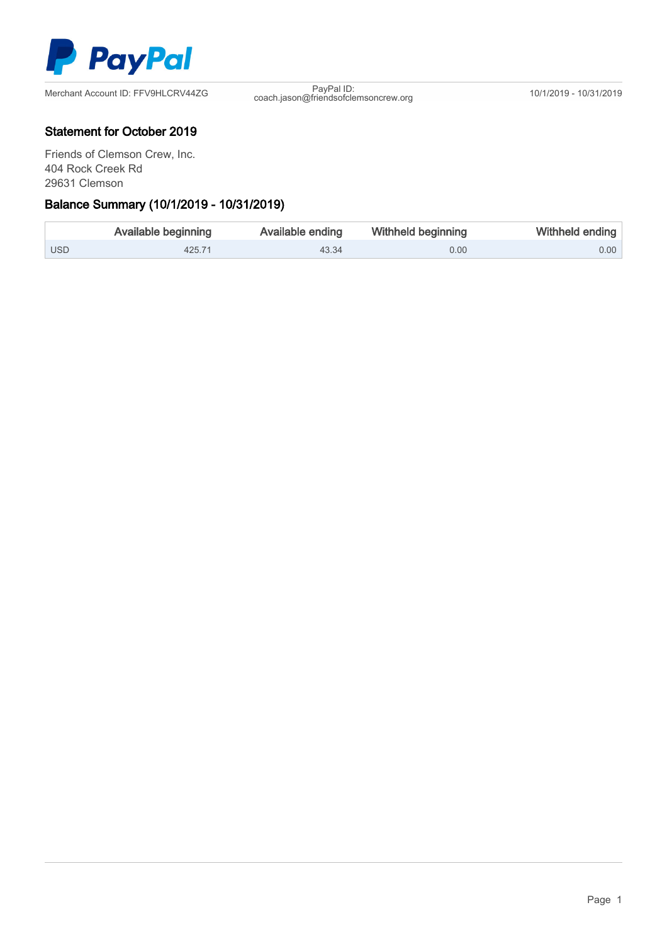

coach.jason@friendsofclemsoncrew.org 10/1/2019 - 10/31/2019

## Statement for October 2019

Friends of Clemson Crew, Inc. 404 Rock Creek Rd 29631 Clemson

## Ξ Balance Summary (10/1/2019 - 10/31/2019)

|            | Available beginning | Available ending | Withheld beginning | Withheld ending   |
|------------|---------------------|------------------|--------------------|-------------------|
| <b>USD</b> | 425.71              | 43.34            | 0.00               | 0.00 <sub>1</sub> |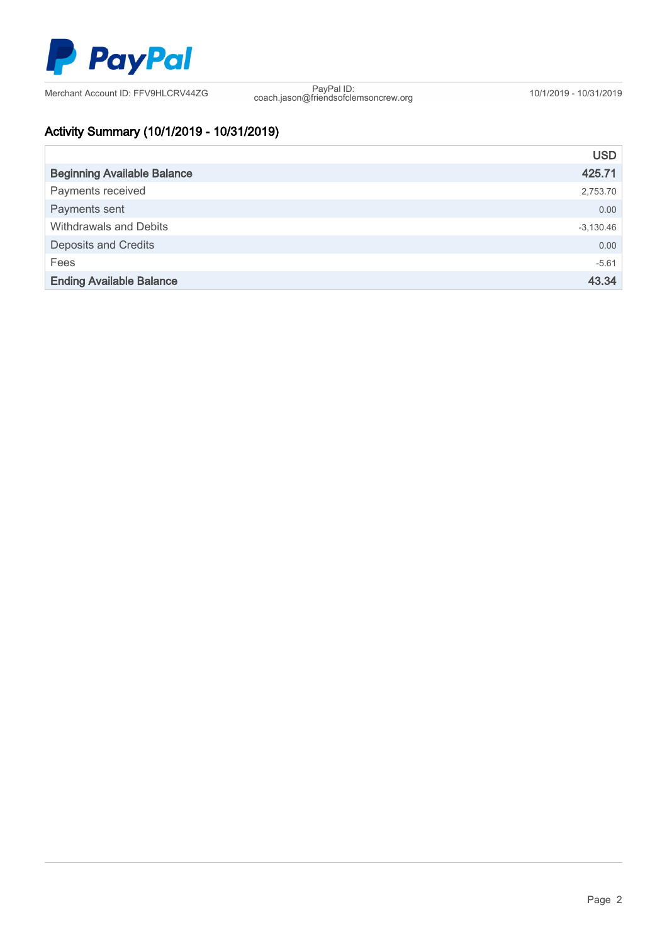

coach.jason@friendsofclemsoncrew.org 10/1/2019 - 10/31/2019

# Activity Summary (10/1/2019 - 10/31/2019)

|                                    | <b>USD</b>  |
|------------------------------------|-------------|
| <b>Beginning Available Balance</b> | 425.71      |
| Payments received                  | 2,753.70    |
| Payments sent                      | 0.00        |
| Withdrawals and Debits             | $-3,130.46$ |
| <b>Deposits and Credits</b>        | 0.00        |
| Fees                               | $-5.61$     |
| <b>Ending Available Balance</b>    | 43.34       |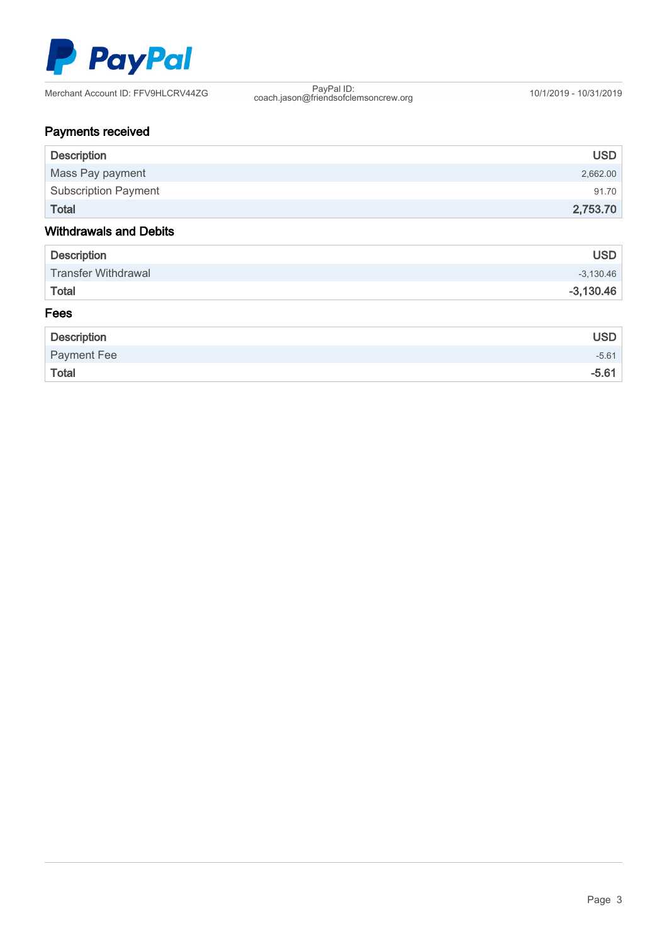

coach.jason@friendsofclemsoncrew.org 10/1/2019 - 10/31/2019

# Payments received

| <b>Description</b>            | <b>USD</b>  |
|-------------------------------|-------------|
| Mass Pay payment              | 2,662.00    |
| <b>Subscription Payment</b>   | 91.70       |
| <b>Total</b>                  | 2,753.70    |
| <b>Withdrawals and Debits</b> |             |
| <b>Description</b>            | <b>USD</b>  |
| <b>Transfer Withdrawal</b>    | $-3,130.46$ |
| <b>Total</b>                  | $-3,130.46$ |
| Fees                          |             |
| <b>Description</b>            | <b>USD</b>  |
| <b>Payment Fee</b>            | $-5.61$     |
| <b>Total</b>                  | $-5.61$     |